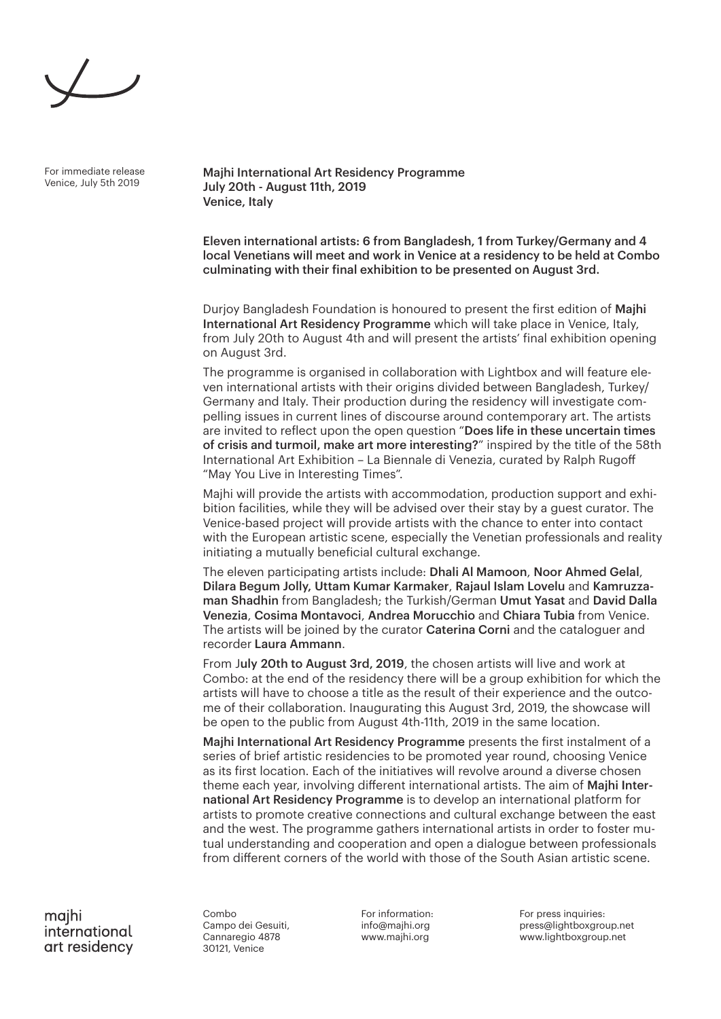For immediate release Venice, July 5th 2019

Majhi International Art Residency Programme July 20th - August 11th, 2019 Venice, Italy

Eleven international artists: 6 from Bangladesh, 1 from Turkey/Germany and 4 local Venetians will meet and work in Venice at a residency to be held at Combo culminating with their final exhibition to be presented on August 3rd.

Durjoy Bangladesh Foundation is honoured to present the first edition of Majhi International Art Residency Programme which will take place in Venice, Italy, from July 20th to August 4th and will present the artists' final exhibition opening on August 3rd.

The programme is organised in collaboration with Lightbox and will feature eleven international artists with their origins divided between Bangladesh, Turkey/ Germany and Italy. Their production during the residency will investigate compelling issues in current lines of discourse around contemporary art. The artists are invited to reflect upon the open question "Does life in these uncertain times of crisis and turmoil, make art more interesting?" inspired by the title of the 58th International Art Exhibition – La Biennale di Venezia, curated by Ralph Rugoff "May You Live in Interesting Times".

Majhi will provide the artists with accommodation, production support and exhibition facilities, while they will be advised over their stay by a guest curator. The Venice-based project will provide artists with the chance to enter into contact with the European artistic scene, especially the Venetian professionals and reality initiating a mutually beneficial cultural exchange.

The eleven participating artists include: Dhali Al Mamoon, Noor Ahmed Gelal, Dilara Begum Jolly, Uttam Kumar Karmaker, Rajaul Islam Lovelu and Kamruzzaman Shadhin from Bangladesh; the Turkish/German Umut Yasat and David Dalla Venezia, Cosima Montavoci, Andrea Morucchio and Chiara Tubia from Venice. The artists will be joined by the curator Caterina Corni and the cataloguer and recorder Laura Ammann.

From July 20th to August 3rd, 2019, the chosen artists will live and work at Combo: at the end of the residency there will be a group exhibition for which the artists will have to choose a title as the result of their experience and the outcome of their collaboration. Inaugurating this August 3rd, 2019, the showcase will be open to the public from August 4th-11th, 2019 in the same location.

Majhi International Art Residency Programme presents the first instalment of a series of brief artistic residencies to be promoted year round, choosing Venice as its first location. Each of the initiatives will revolve around a diverse chosen theme each year, involving different international artists. The aim of Majhi International Art Residency Programme is to develop an international platform for artists to promote creative connections and cultural exchange between the east and the west. The programme gathers international artists in order to foster mutual understanding and cooperation and open a dialogue between professionals from different corners of the world with those of the South Asian artistic scene.

majhi international art residency

Combo Campo dei Gesuiti, Cannaregio 4878 30121, Venice

For information: info@majhi.org www.majhi.org

For press inquiries: press@lightboxgroup.net www.lightboxgroup.net